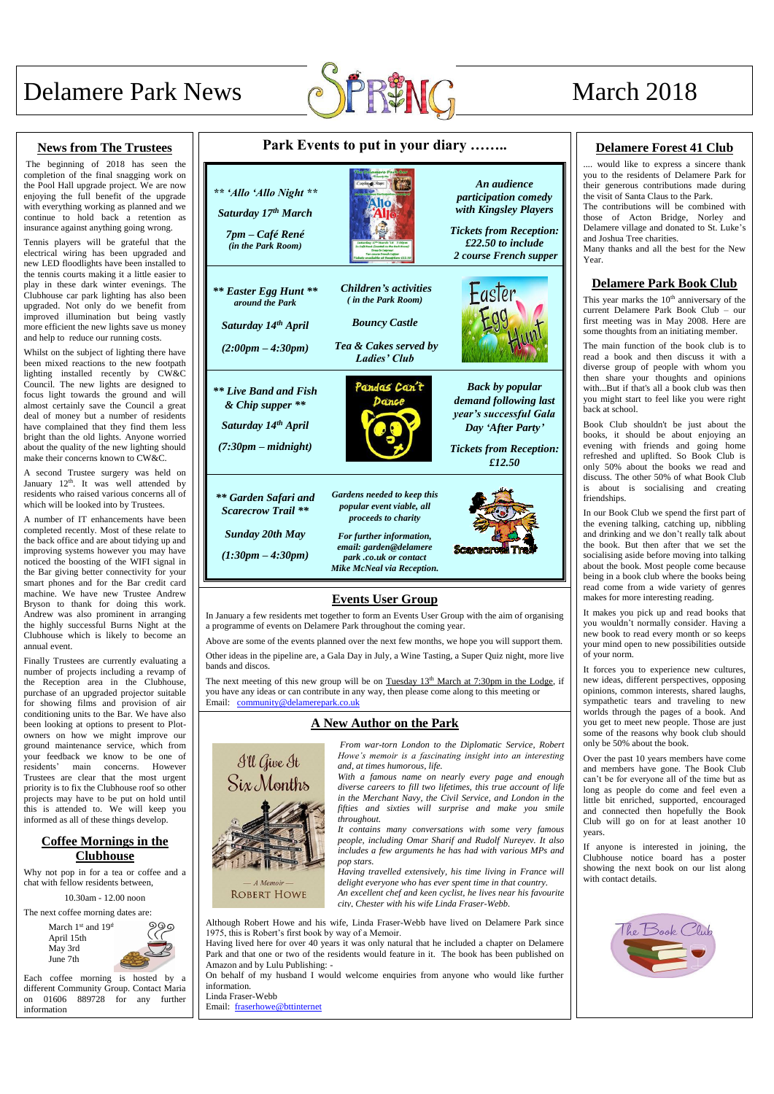

## **News from The Trustees**

The beginning of 2018 has seen the completion of the final snagging work on the Pool Hall upgrade project. We are now enjoying the full benefit of the upgrade with everything working as planned and we continue to hold back a retention as insurance against anything going wrong.

Tennis players will be grateful that the electrical wiring has been upgraded and new LED floodlights have been installed to the tennis courts making it a little easier to play in these dark winter evenings. The Clubhouse car park lighting has also been upgraded. Not only do we benefit from improved illumination but being vastly more efficient the new lights save us money and help to reduce our running costs.

> March  $1<sup>st</sup>$  and  $19<sup>th</sup>$ April 15th May 3rd June 7th

Whilst on the subject of lighting there have been mixed reactions to the new footpath lighting installed recently by CW&C Council. The new lights are designed to focus light towards the ground and will almost certainly save the Council a great deal of money but a number of residents have complained that they find them less bright than the old lights. Anyone worried about the quality of the new lighting should make their concerns known to CW&C.

A second Trustee surgery was held on January 12<sup>th</sup>. It was well attended by residents who raised various concerns all of which will be looked into by Trustees.

A number of IT enhancements have been completed recently. Most of these relate to the back office and are about tidying up and improving systems however you may have noticed the boosting of the WIFI signal in the Bar giving better connectivity for your smart phones and for the Bar credit card machine. We have new Trustee Andrew Bryson to thank for doing this work. Andrew was also prominent in arranging the highly successful Burns Night at the Clubhouse which is likely to become an annual event.

read books that you wouldn't normally consider. Having a new book to read every month or so keeps your mind open to new possibilities outside of your norm.

Finally Trustees are currently evaluating a number of projects including a revamp of the Reception area in the Clubhouse, purchase of an upgraded projector suitable for showing films and provision of air conditioning units to the Bar. We have also been looking at options to present to Plotowners on how we might improve our ground maintenance service, which from your feedback we know to be one of residents' main concerns. However Trustees are clear that the most urgent priority is to fix the Clubhouse roof so other projects may have to be put on hold until this is attended to. We will keep you informed as all of these things develop.

# **Coffee Mornings in the Clubhouse**

Why not pop in for a tea or coffee and a chat with fellow residents between,

10.30am - 12.00 noon

The next coffee morning dates are:

Each coffee morning is hosted by a different Community Group. Contact Maria on 01606 889728 for any further information

A Memoir **ROBERT HOWE** 

| Park Events to put in your diary                                                                   | <b>Delamere Forest</b>                                                                                                                                                                               |                                                                                                                                               |                                                                                                                                                                                                                                                                                                                                                                                                                                                                                                                                                                                                                                                                                                                                                                                                                                                                                                                                                                                                                                                                                                |
|----------------------------------------------------------------------------------------------------|------------------------------------------------------------------------------------------------------------------------------------------------------------------------------------------------------|-----------------------------------------------------------------------------------------------------------------------------------------------|------------------------------------------------------------------------------------------------------------------------------------------------------------------------------------------------------------------------------------------------------------------------------------------------------------------------------------------------------------------------------------------------------------------------------------------------------------------------------------------------------------------------------------------------------------------------------------------------------------------------------------------------------------------------------------------------------------------------------------------------------------------------------------------------------------------------------------------------------------------------------------------------------------------------------------------------------------------------------------------------------------------------------------------------------------------------------------------------|
| ** 'Allo 'Allo Night **<br>Saturday 17th March<br>7pm – Café René<br>(in the Park Room)            |                                                                                                                                                                                                      | An audience<br>participation comedy<br>with Kingsley Players<br><b>Tickets from Reception:</b><br>£22.50 to include<br>2 course French supper | would like to express<br>you to the residents of Del<br>their generous contribution<br>the visit of Santa Claus to th<br>The contributions will be<br>those of Acton Bridge,<br>Delamere village and donate<br>and Joshua Tree charities.<br>Many thanks and all the be<br>Year.<br><b>Delamere Park B</b><br>This year marks the 10 <sup>th</sup> an<br>current Delamere Park Bo<br>first meeting was in May<br>some thoughts from an initia<br>The main function of the 1<br>read a book and then dis<br>diverse group of people w<br>then share your thoughts<br>withBut if that's all a bool<br>you might start to feel like<br>back at school.<br>Book Club shouldn't be<br>books, it should be abou<br>evening with friends and<br>refreshed and uplifted. So<br>only 50% about the book<br>discuss. The other 50% of v<br>is about is socialising<br>friendships.<br>In our Book Club we spend<br>the evening talking, catchin<br>and drinking and we don't n<br>the book. But then after t<br>socialising aside before mov<br>about the book. Most peopl<br>being in a book club where |
| ** Easter Egg Hunt **<br>around the Park<br>Saturday 14th April<br>$(2:00pm - 4:30pm)$             | <b>Children's activities</b><br>(in the Park Room)<br><b>Bouncy Castle</b><br>Tea & Cakes served by<br><b>Ladies' Club</b>                                                                           | Easter                                                                                                                                        |                                                                                                                                                                                                                                                                                                                                                                                                                                                                                                                                                                                                                                                                                                                                                                                                                                                                                                                                                                                                                                                                                                |
| <b>**</b> Live Band and Fish<br>& Chip supper **<br>Saturday 14th April<br>$(7:30pm - midnight)$   | Pandas Can't<br>Dance                                                                                                                                                                                | <b>Back by popular</b><br>demand following last<br>year's successful Gala<br>Day 'After Party'<br><b>Tickets from Reception:</b><br>£12.50    |                                                                                                                                                                                                                                                                                                                                                                                                                                                                                                                                                                                                                                                                                                                                                                                                                                                                                                                                                                                                                                                                                                |
| ** Garden Safari and<br><b>Scarecrow Trail</b> **<br><b>Sunday 20th May</b><br>$(1:30pm - 4:30pm)$ | <b>Gardens needed to keep this</b><br>popular event viable, all<br>proceeds to charity<br>For further information,<br>email: garden@delamere<br>park .co.uk or contact<br>Mike McNeal via Reception. | Scarecrout Tra                                                                                                                                |                                                                                                                                                                                                                                                                                                                                                                                                                                                                                                                                                                                                                                                                                                                                                                                                                                                                                                                                                                                                                                                                                                |
| a programme of events on Delamere Park throughout the coming year.                                 | <b>Events User Group</b>                                                                                                                                                                             | In January a few residents met together to form an Events User Group with the aim of organising                                               | read come from a wide va<br>makes for more interesting r<br>It makes you pick up and<br>you wouldn't normally con                                                                                                                                                                                                                                                                                                                                                                                                                                                                                                                                                                                                                                                                                                                                                                                                                                                                                                                                                                              |

The next meeting of this new group will be on Tuesday  $13<sup>th</sup>$  March at 7:30pm in the Lodge, if you have any ideas or can contribute in any way, then please come along to this meeting or Email: community@delamerepark.co.uk

It forces you to experience new cultures, new ideas, different perspectives, opposing opinions, common interests, shared laughs, sympathetic tears and traveling to new worlds through the pages of a book. And you get to meet new people. Those are just some of the reasons why book club should only be 50% about the book.

Over the past 10 years members have come and members have gone. The Book Club can't be for everyone all of the time but as long as people do come and feel even a little bit enriched, supported, encouraged and connected then hopefully the Book Club will go on for at least another 10

years. If anyone is interested in joining, the Clubhouse notice board has a poster showing the next book on our list along





## **A New Author on the Park**



Although Robert Howe and his wife, Linda Fraser-Webb have lived on Delamere Park since 1975, this is Robert's first book by way of a Memoir.

Having lived here for over 40 years it was only natural that he included a chapter on Delamere Park and that one or two of the residents would feature in it. The book has been published on Amazon and by Lulu Publishing: -

On behalf of my husband I would welcome enquiries from anyone who would like further information.

Linda Fraser-Webb

Email: fraserhowe@bttinternet

*From war-torn London to the Diplomatic Service, Robert Howe's memoir is a fascinating insight into an interesting and, at times humorous, life.*

*With a famous name on nearly every page and enough diverse careers to fill two lifetimes, this true account of life in the Merchant Navy, the Civil Service, and London in the fifties and sixties will surprise and make you smile throughout.*

## **41 Club**

a sincere thank lamere Park for ns made during the Park. combined with Norley and ted to St. Luke's

est for the New

# **book Club**

 $nniversity$  of the ook Club – our 2008. Here are ating member.

book club is to scuss it with a with whom you and opinions k club was then you were right

just about the ut enjoying an d going home Book Club is s we read and what Book Club and creating

the first part of ng up, nibbling really talk about that we set the ving into talking le come because the books being ariety of genres reading.

*It contains many conversations with some very famous people, including Omar Sharif and Rudolf Nureyev. It also includes a few arguments he has had with various MPs and pop stars.*

*Having travelled extensively, his time living in France will delight everyone who has ever spent time in that country. An excellent chef and keen cyclist, he lives near his favourite city, Chester with his wife Linda Fraser-Webb.*



Above are some of the events planned over the next few months, we hope you will support them.

Other ideas in the pipeline are, a Gala Day in July, a Wine Tasting, a Super Quiz night, more live bands and discos.